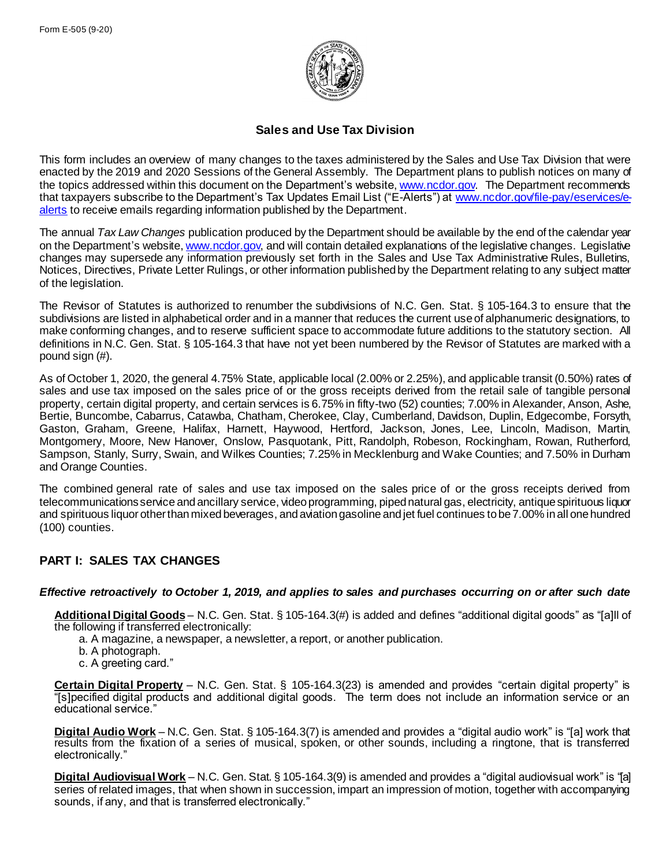

## **Sales and Use Tax Division**

This form includes an overview of many changes to the taxes administered by the Sales and Use Tax Division that were enacted by the 2019 and 2020 Sessions of the General Assembly. The Department plans to publish notices on many of the topics addressed within this document on the Department's website[, www.ncdor.gov](https://www.ncdor.gov/). The Department recommends that taxpayers subscribe to the Department's Tax Updates Email List ("E-Alerts") at [www.ncdor.gov/file-pay/eservices/e](http://www.ncdor.gov/file-pay/eservices/e-alerts)[alerts](http://www.ncdor.gov/file-pay/eservices/e-alerts) to receive emails regarding information published by the Department.

The annual *Tax Law Changes* publication produced by the Department should be available by the end of the calendar year on the Department's website[, www.ncdor.gov,](https://www.ncdor.gov/) and will contain detailed explanations of the legislative changes. Legislative changes may supersede any information previously set forth in the Sales and Use Tax Administrative Rules, Bulletins, Notices, Directives, Private Letter Rulings, or other information published by the Department relating to any subject matter of the legislation.

The Revisor of Statutes is authorized to renumber the subdivisions of N.C. Gen. Stat. § 105-164.3 to ensure that the subdivisions are listed in alphabetical order and in a manner that reduces the current use of alphanumeric designations, to make conforming changes, and to reserve sufficient space to accommodate future additions to the statutory section. All definitions in N.C. Gen. Stat. § 105-164.3 that have not yet been numbered by the Revisor of Statutes are marked with a pound sign (#).

As of October 1, 2020, the general 4.75% State, applicable local (2.00% or 2.25%), and applicable transit (0.50%) rates of sales and use tax imposed on the sales price of or the gross receipts derived from the retail sale of tangible personal property, certain digital property, and certain services is 6.75% in fifty-two (52) counties; 7.00% in Alexander, Anson, Ashe, Bertie, Buncombe, Cabarrus, Catawba, Chatham, Cherokee, Clay, Cumberland, Davidson, Duplin, Edgecombe, Forsyth, Gaston, Graham, Greene, Halifax, Harnett, Haywood, Hertford, Jackson, Jones, Lee, Lincoln, Madison, Martin, Montgomery, Moore, New Hanover, Onslow, Pasquotank, Pitt, Randolph, Robeson, Rockingham, Rowan, Rutherford, Sampson, Stanly, Surry, Swain, and Wilkes Counties; 7.25% in Mecklenburg and Wake Counties; and 7.50% in Durham and Orange Counties.

The combined general rate of sales and use tax imposed on the sales price of or the gross receipts derived from telecommunications service and ancillary service, video programming, piped natural gas, electricity, antique spirituous liquor and spirituous liquor other than mixed beverages, and aviation gasoline and jet fuel continues to be 7.00% in all one hundred (100) counties.

# **PART I: SALES TAX CHANGES**

### *Effective retroactively to October 1, 2019, and applies to sales and purchases occurring on or after such date*

**Additional Digital Goods** – N.C. Gen. Stat. § 105-164.3(#) is added and defines "additional digital goods" as "[a]ll of the following if transferred electronically:

- a. A magazine, a newspaper, a newsletter, a report, or another publication.
- b. A photograph.
- c. A greeting card."

**Certain Digital Property** – N.C. Gen. Stat. § 105-164.3(23) is amended and provides "certain digital property" is "[s]pecified digital products and additional digital goods. The term does not include an information service or an educational service."

**Digital Audio Work** – N.C. Gen. Stat. § 105-164.3(7) is amended and provides a "digital audio work" is "[a] work that results from the fixation of a series of musical, spoken, or other sounds, including a ringtone, that is transferred electronically."

**Digital Audiovisual Work** – N.C. Gen. Stat. § 105-164.3(9) is amended and provides a "digital audiovisual work" is "[a] series of related images, that when shown in succession, impart an impression of motion, together with accompanying sounds, if any, and that is transferred electronically."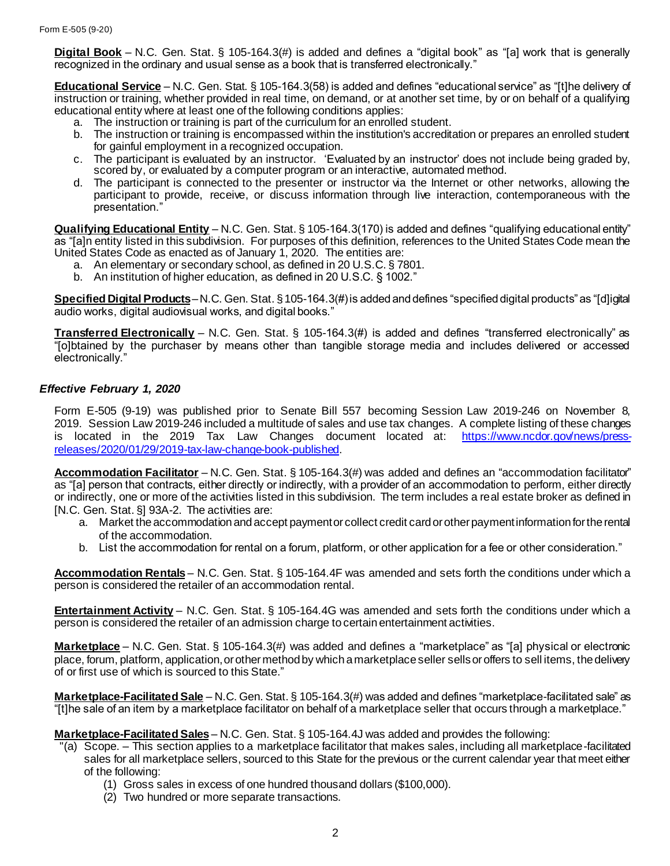**Digital Book** – N.C. Gen. Stat. § 105-164.3(#) is added and defines a "digital book" as "[a] work that is generally recognized in the ordinary and usual sense as a book that is transferred electronically."

**Educational Service** – N.C. Gen. Stat. § 105-164.3(58) is added and defines "educational service" as "[t]he delivery of instruction or training, whether provided in real time, on demand, or at another set time, by or on behalf of a qualifying educational entity where at least one of the following conditions applies:

- a. The instruction or training is part of the curriculum for an enrolled student.
- b. The instruction or training is encompassed within the institution's accreditation or prepares an enrolled student for gainful employment in a recognized occupation.
- c. The participant is evaluated by an instructor. 'Evaluated by an instructor' does not include being graded by, scored by, or evaluated by a computer program or an interactive, automated method.
- d. The participant is connected to the presenter or instructor via the Internet or other networks, allowing the participant to provide, receive, or discuss information through live interaction, contemporaneous with the presentation."

**Qualifying Educational Entity** – N.C. Gen. Stat. § 105-164.3(170) is added and defines "qualifying educational entity" as "[a]n entity listed in this subdivision. For purposes of this definition, references to the United States Code mean the United States Code as enacted as of January 1, 2020. The entities are:

- a. An elementary or secondary school, as defined in 20 U.S.C. § 7801.
- b. An institution of higher education, as defined in 20 U.S.C. § 1002."

**Specified Digital Products**–N.C. Gen. Stat. § 105-164.3(#) is added and defines "specified digital products" as "[d]igital audio works, digital audiovisual works, and digital books."

**Transferred Electronically** – N.C. Gen. Stat. § 105-164.3(#) is added and defines "transferred electronically" as "[o]btained by the purchaser by means other than tangible storage media and includes delivered or accessed electronically."

#### *Effective February 1, 2020*

Form E-505 (9-19) was published prior to Senate Bill 557 becoming Session Law 2019-246 on November 8, 2019. Session Law 2019-246 included a multitude of sales and use tax changes. A complete listing of these changes is located in the 2019 Tax Law Changes document located at: [https://www.ncdor.gov/news/press](https://www.ncdor.gov/news/press-releases/2020/01/29/2019-tax-law-change-book-published)[releases/2020/01/29/2019-tax-law-change-book-published](https://www.ncdor.gov/news/press-releases/2020/01/29/2019-tax-law-change-book-published).

**Accommodation Facilitator** – N.C. Gen. Stat. § 105-164.3(#) was added and defines an "accommodation facilitator" as "[a] person that contracts, either directly or indirectly, with a provider of an accommodation to perform, either directly or indirectly, one or more of the activities listed in this subdivision. The term includes a real estate broker as defined in [N.C. Gen. Stat. §] 93A-2. The activities are:

- a. Market the accommodation and accept payment or collect credit card or other payment information for the rental of the accommodation.
- b. List the accommodation for rental on a forum, platform, or other application for a fee or other consideration."

**Accommodation Rentals** – N.C. Gen. Stat. § 105-164.4F was amended and sets forth the conditions under which a person is considered the retailer of an accommodation rental.

**Entertainment Activity** – N.C. Gen. Stat. § 105-164.4G was amended and sets forth the conditions under which a person is considered the retailer of an admission charge to certain entertainment activities.

**Marketplace** – N.C. Gen. Stat. § 105-164.3(#) was added and defines a "marketplace" as "[a] physical or electronic place, forum, platform, application, or other method by which a marketplace seller sells or offers to sell items, the delivery of or first use of which is sourced to this State."

**Marketplace-Facilitated Sale** – N.C. Gen. Stat. § 105-164.3(#) was added and defines "marketplace-facilitated sale" as "[t]he sale of an item by a marketplace facilitator on behalf of a marketplace seller that occurs through a marketplace."

**Marketplace-Facilitated Sales** – N.C. Gen. Stat. § 105-164.4J was added and provides the following:

- "(a) Scope. This section applies to a marketplace facilitator that makes sales, including all marketplace-facilitated sales for all marketplace sellers, sourced to this State for the previous or the current calendar year that meet either of the following:
	- (1) Gross sales in excess of one hundred thousand dollars (\$100,000).
	- (2) Two hundred or more separate transactions.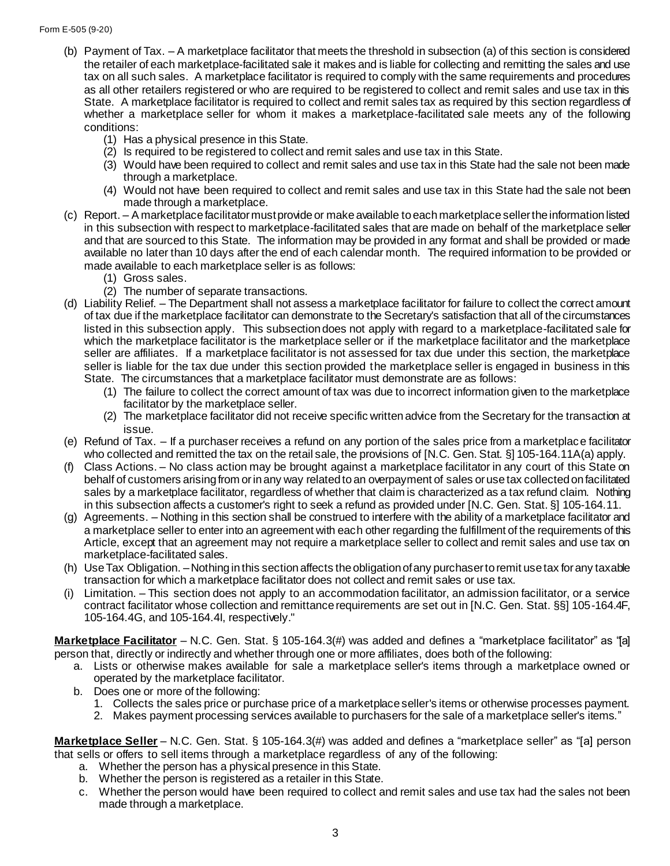- (b) Payment of Tax. A marketplace facilitator that meets the threshold in subsection (a) of this section is considered the retailer of each marketplace-facilitated sale it makes and is liable for collecting and remitting the sales and use tax on all such sales. A marketplace facilitator is required to comply with the same requirements and procedures as all other retailers registered or who are required to be registered to collect and remit sales and use tax in this State. A marketplace facilitator is required to collect and remit sales tax as required by this section regardless of whether a marketplace seller for whom it makes a marketplace-facilitated sale meets any of the following conditions:
	- (1) Has a physical presence in this State.
	- (2) Is required to be registered to collect and remit sales and use tax in this State.
	- (3) Would have been required to collect and remit sales and use tax in this State had the sale not been made through a marketplace.
	- (4) Would not have been required to collect and remit sales and use tax in this State had the sale not been made through a marketplace.
- (c) Report. A marketplace facilitator must provide or make available to each marketplace seller the information listed in this subsection with respect to marketplace-facilitated sales that are made on behalf of the marketplace seller and that are sourced to this State. The information may be provided in any format and shall be provided or made available no later than 10 days after the end of each calendar month. The required information to be provided or made available to each marketplace seller is as follows:
	- (1) Gross sales.
	- (2) The number of separate transactions.
- (d) Liability Relief. The Department shall not assess a marketplace facilitator for failure to collect the correct amount of tax due if the marketplace facilitator can demonstrate to the Secretary's satisfaction that all of the circumstances listed in this subsection apply. This subsection does not apply with regard to a marketplace-facilitated sale for which the marketplace facilitator is the marketplace seller or if the marketplace facilitator and the marketplace seller are affiliates. If a marketplace facilitator is not assessed for tax due under this section, the marketplace seller is liable for the tax due under this section provided the marketplace seller is engaged in business in this State. The circumstances that a marketplace facilitator must demonstrate are as follows:
	- (1) The failure to collect the correct amount of tax was due to incorrect information given to the marketplace facilitator by the marketplace seller.
	- (2) The marketplace facilitator did not receive specific written advice from the Secretary for the transaction at issue.
- (e) Refund of Tax. If a purchaser receives a refund on any portion of the sales price from a marketplace facilitator who collected and remitted the tax on the retail sale, the provisions of [N.C. Gen. Stat. §] 105-164.11A(a) apply.
- (f) Class Actions. No class action may be brought against a marketplace facilitator in any court of this State on behalf of customers arising from or in any way related to an overpayment of sales or use tax collected on facilitated sales by a marketplace facilitator, regardless of whether that claim is characterized as a tax refund claim. Nothing in this subsection affects a customer's right to seek a refund as provided under [N.C. Gen. Stat. §] 105-164.11.
- (g) Agreements. Nothing in this section shall be construed to interfere with the ability of a marketplace facilitator and a marketplace seller to enter into an agreement with each other regarding the fulfillment of the requirements of this Article, except that an agreement may not require a marketplace seller to collect and remit sales and use tax on marketplace-facilitated sales.
- (h) Use Tax Obligation. –Nothing in this section affects the obligation of any purchaser to remit use tax for any taxable transaction for which a marketplace facilitator does not collect and remit sales or use tax.
- (i) Limitation. This section does not apply to an accommodation facilitator, an admission facilitator, or a service contract facilitator whose collection and remittance requirements are set out in [N.C. Gen. Stat. §§] 105-164.4F, 105-164.4G, and 105-164.4I, respectively."

**Marketplace Facilitator** – N.C. Gen. Stat. § 105-164.3(#) was added and defines a "marketplace facilitator" as "[a] person that, directly or indirectly and whether through one or more affiliates, does both of the following:

- a. Lists or otherwise makes available for sale a marketplace seller's items through a marketplace owned or operated by the marketplace facilitator.
- b. Does one or more of the following:
	- 1. Collects the sales price or purchase price of a marketplace seller's items or otherwise processes payment.
	- 2. Makes payment processing services available to purchasers for the sale of a marketplace seller's items."

**Marketplace Seller** – N.C. Gen. Stat. § 105-164.3(#) was added and defines a "marketplace seller" as "[a] person that sells or offers to sell items through a marketplace regardless of any of the following:

- a. Whether the person has a physical presence in this State.
- b. Whether the person is registered as a retailer in this State.
- c. Whether the person would have been required to collect and remit sales and use tax had the sales not been made through a marketplace.